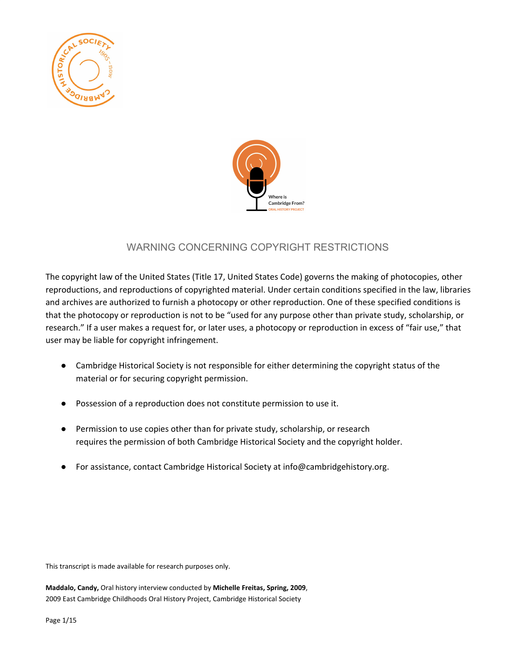



## WARNING CONCERNING COPYRIGHT RESTRICTIONS

The copyright law of the United States (Title 17, United States Code) governs the making of photocopies, other reproductions, and reproductions of copyrighted material. Under certain conditions specified in the law, libraries and archives are authorized to furnish a photocopy or other reproduction. One of these specified conditions is that the photocopy or reproduction is not to be "used for any purpose other than private study, scholarship, or research." If a user makes a request for, or later uses, a photocopy or reproduction in excess of "fair use," that user may be liable for copyright infringement.

- Cambridge Historical Society is not responsible for either determining the copyright status of the material or for securing copyright permission.
- Possession of a reproduction does not constitute permission to use it.
- Permission to use copies other than for private study, scholarship, or research requires the permission of both Cambridge Historical Society and the copyright holder.
- For assistance, contact Cambridge Historical Society at info@cambridgehistory.org.

This transcript is made available for research purposes only.

**Maddalo, Candy,** Oral history interview conducted by **Michelle Freitas, Spring, 2009**, 2009 East Cambridge Childhoods Oral History Project, Cambridge Historical Society

Page 1/15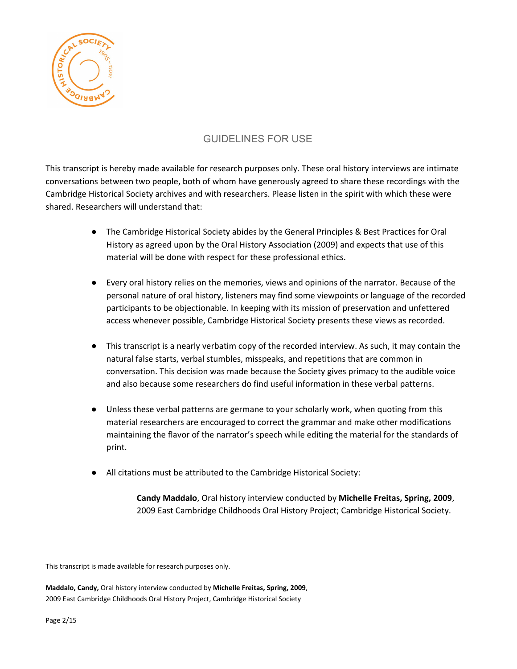

## GUIDELINES FOR USE

This transcript is hereby made available for research purposes only. These oral history interviews are intimate conversations between two people, both of whom have generously agreed to share these recordings with the Cambridge Historical Society archives and with researchers. Please listen in the spirit with which these were shared. Researchers will understand that:

- The Cambridge Historical Society abides by the General Principles & Best Practices for Oral History as agreed upon by the Oral History Association (2009) and expects that use of this material will be done with respect for these professional ethics.
- Every oral history relies on the memories, views and opinions of the narrator. Because of the personal nature of oral history, listeners may find some viewpoints or language of the recorded participants to be objectionable. In keeping with its mission of preservation and unfettered access whenever possible, Cambridge Historical Society presents these views as recorded.
- This transcript is a nearly verbatim copy of the recorded interview. As such, it may contain the natural false starts, verbal stumbles, misspeaks, and repetitions that are common in conversation. This decision was made because the Society gives primacy to the audible voice and also because some researchers do find useful information in these verbal patterns.
- Unless these verbal patterns are germane to your scholarly work, when quoting from this material researchers are encouraged to correct the grammar and make other modifications maintaining the flavor of the narrator's speech while editing the material for the standards of print.
- All citations must be attributed to the Cambridge Historical Society:

**Candy Maddalo**, Oral history interview conducted by **Michelle Freitas, Spring, 2009**, 2009 East Cambridge Childhoods Oral History Project; Cambridge Historical Society.

This transcript is made available for research purposes only.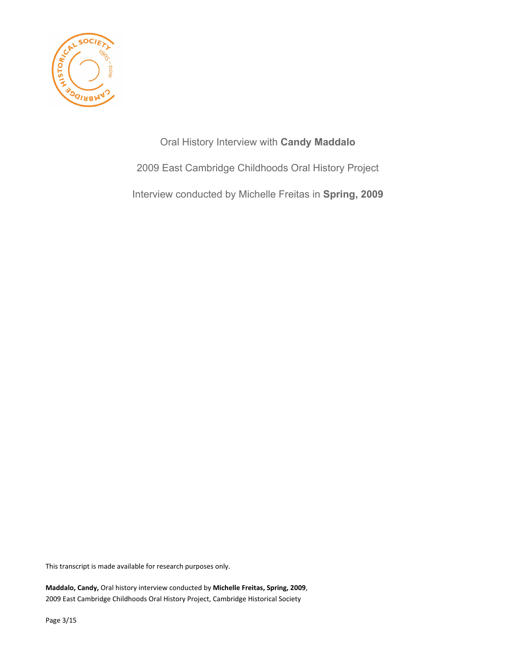

Oral History Interview with **Candy Maddalo** 2009 East Cambridge Childhoods Oral History Project Interview conducted by Michelle Freitas in **Spring, 2009**

This transcript is made available for research purposes only.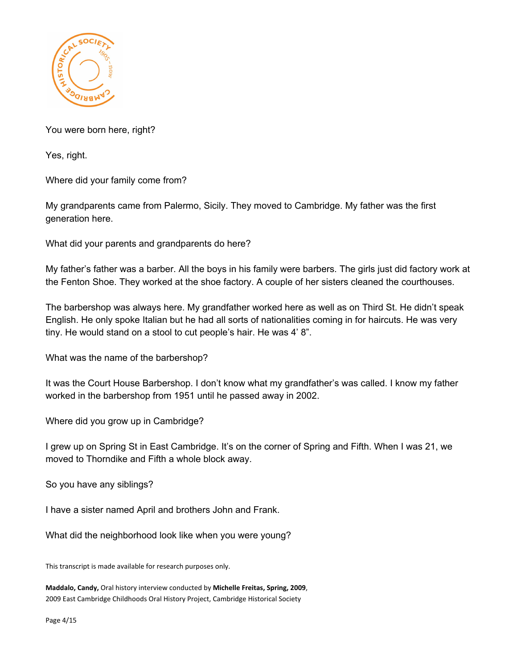

You were born here, right?

Yes, right.

Where did your family come from?

My grandparents came from Palermo, Sicily. They moved to Cambridge. My father was the first generation here.

What did your parents and grandparents do here?

My father's father was a barber. All the boys in his family were barbers. The girls just did factory work at the Fenton Shoe. They worked at the shoe factory. A couple of her sisters cleaned the courthouses.

The barbershop was always here. My grandfather worked here as well as on Third St. He didn't speak English. He only spoke Italian but he had all sorts of nationalities coming in for haircuts. He was very tiny. He would stand on a stool to cut people's hair. He was 4' 8".

What was the name of the barbershop?

It was the Court House Barbershop. I don't know what my grandfather's was called. I know my father worked in the barbershop from 1951 until he passed away in 2002.

Where did you grow up in Cambridge?

I grew up on Spring St in East Cambridge. It's on the corner of Spring and Fifth. When I was 21, we moved to Thorndike and Fifth a whole block away.

So you have any siblings?

I have a sister named April and brothers John and Frank.

What did the neighborhood look like when you were young?

This transcript is made available for research purposes only.

**Maddalo, Candy,** Oral history interview conducted by **Michelle Freitas, Spring, 2009**, 2009 East Cambridge Childhoods Oral History Project, Cambridge Historical Society

Page 4/15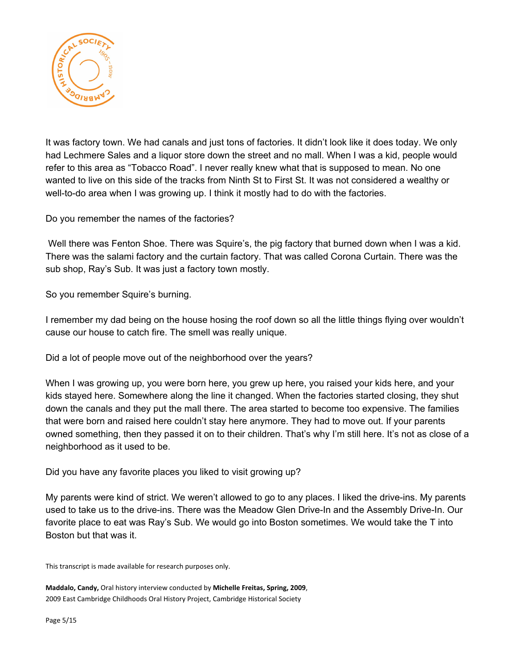

It was factory town. We had canals and just tons of factories. It didn't look like it does today. We only had Lechmere Sales and a liquor store down the street and no mall. When I was a kid, people would refer to this area as "Tobacco Road". I never really knew what that is supposed to mean. No one wanted to live on this side of the tracks from Ninth St to First St. It was not considered a wealthy or well-to-do area when I was growing up. I think it mostly had to do with the factories.

Do you remember the names of the factories?

Well there was Fenton Shoe. There was Squire's, the pig factory that burned down when I was a kid. There was the salami factory and the curtain factory. That was called Corona Curtain. There was the sub shop, Ray's Sub. It was just a factory town mostly.

So you remember Squire's burning.

I remember my dad being on the house hosing the roof down so all the little things flying over wouldn't cause our house to catch fire. The smell was really unique.

Did a lot of people move out of the neighborhood over the years?

When I was growing up, you were born here, you grew up here, you raised your kids here, and your kids stayed here. Somewhere along the line it changed. When the factories started closing, they shut down the canals and they put the mall there. The area started to become too expensive. The families that were born and raised here couldn't stay here anymore. They had to move out. If your parents owned something, then they passed it on to their children. That's why I'm still here. It's not as close of a neighborhood as it used to be.

Did you have any favorite places you liked to visit growing up?

My parents were kind of strict. We weren't allowed to go to any places. I liked the drive-ins. My parents used to take us to the drive-ins. There was the Meadow Glen Drive-In and the Assembly Drive-In. Our favorite place to eat was Ray's Sub. We would go into Boston sometimes. We would take the T into Boston but that was it.

This transcript is made available for research purposes only.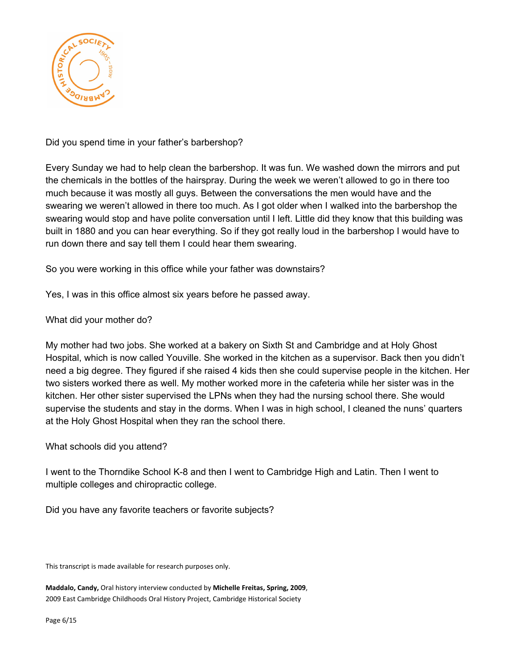

Did you spend time in your father's barbershop?

Every Sunday we had to help clean the barbershop. It was fun. We washed down the mirrors and put the chemicals in the bottles of the hairspray. During the week we weren't allowed to go in there too much because it was mostly all guys. Between the conversations the men would have and the swearing we weren't allowed in there too much. As I got older when I walked into the barbershop the swearing would stop and have polite conversation until I left. Little did they know that this building was built in 1880 and you can hear everything. So if they got really loud in the barbershop I would have to run down there and say tell them I could hear them swearing.

So you were working in this office while your father was downstairs?

Yes, I was in this office almost six years before he passed away.

What did your mother do?

My mother had two jobs. She worked at a bakery on Sixth St and Cambridge and at Holy Ghost Hospital, which is now called Youville. She worked in the kitchen as a supervisor. Back then you didn't need a big degree. They figured if she raised 4 kids then she could supervise people in the kitchen. Her two sisters worked there as well. My mother worked more in the cafeteria while her sister was in the kitchen. Her other sister supervised the LPNs when they had the nursing school there. She would supervise the students and stay in the dorms. When I was in high school, I cleaned the nuns' quarters at the Holy Ghost Hospital when they ran the school there.

What schools did you attend?

I went to the Thorndike School K-8 and then I went to Cambridge High and Latin. Then I went to multiple colleges and chiropractic college.

Did you have any favorite teachers or favorite subjects?

This transcript is made available for research purposes only.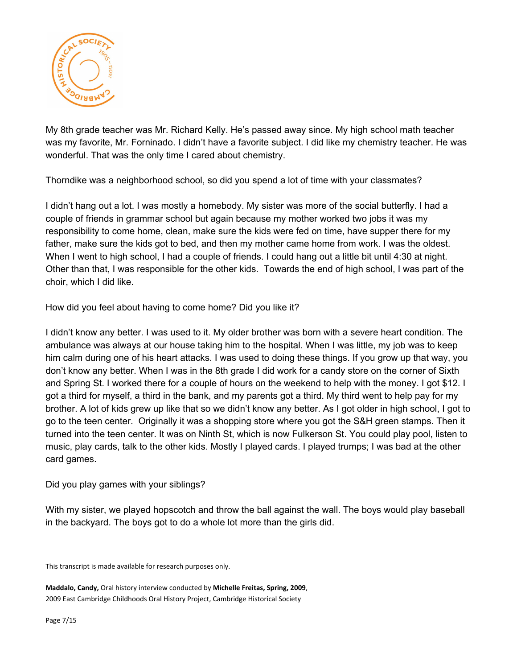

My 8th grade teacher was Mr. Richard Kelly. He's passed away since. My high school math teacher was my favorite, Mr. Forninado. I didn't have a favorite subject. I did like my chemistry teacher. He was wonderful. That was the only time I cared about chemistry.

Thorndike was a neighborhood school, so did you spend a lot of time with your classmates?

I didn't hang out a lot. I was mostly a homebody. My sister was more of the social butterfly. I had a couple of friends in grammar school but again because my mother worked two jobs it was my responsibility to come home, clean, make sure the kids were fed on time, have supper there for my father, make sure the kids got to bed, and then my mother came home from work. I was the oldest. When I went to high school, I had a couple of friends. I could hang out a little bit until 4:30 at night. Other than that, I was responsible for the other kids. Towards the end of high school, I was part of the choir, which I did like.

How did you feel about having to come home? Did you like it?

I didn't know any better. I was used to it. My older brother was born with a severe heart condition. The ambulance was always at our house taking him to the hospital. When I was little, my job was to keep him calm during one of his heart attacks. I was used to doing these things. If you grow up that way, you don't know any better. When I was in the 8th grade I did work for a candy store on the corner of Sixth and Spring St. I worked there for a couple of hours on the weekend to help with the money. I got \$12. I got a third for myself, a third in the bank, and my parents got a third. My third went to help pay for my brother. A lot of kids grew up like that so we didn't know any better. As I got older in high school, I got to go to the teen center. Originally it was a shopping store where you got the S&H green stamps. Then it turned into the teen center. It was on Ninth St, which is now Fulkerson St. You could play pool, listen to music, play cards, talk to the other kids. Mostly I played cards. I played trumps; I was bad at the other card games.

Did you play games with your siblings?

With my sister, we played hopscotch and throw the ball against the wall. The boys would play baseball in the backyard. The boys got to do a whole lot more than the girls did.

This transcript is made available for research purposes only.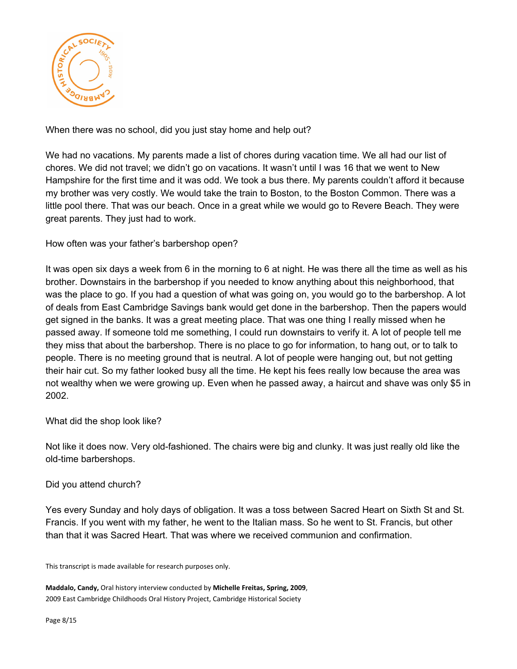

When there was no school, did you just stay home and help out?

We had no vacations. My parents made a list of chores during vacation time. We all had our list of chores. We did not travel; we didn't go on vacations. It wasn't until I was 16 that we went to New Hampshire for the first time and it was odd. We took a bus there. My parents couldn't afford it because my brother was very costly. We would take the train to Boston, to the Boston Common. There was a little pool there. That was our beach. Once in a great while we would go to Revere Beach. They were great parents. They just had to work.

How often was your father's barbershop open?

It was open six days a week from 6 in the morning to 6 at night. He was there all the time as well as his brother. Downstairs in the barbershop if you needed to know anything about this neighborhood, that was the place to go. If you had a question of what was going on, you would go to the barbershop. A lot of deals from East Cambridge Savings bank would get done in the barbershop. Then the papers would get signed in the banks. It was a great meeting place. That was one thing I really missed when he passed away. If someone told me something, I could run downstairs to verify it. A lot of people tell me they miss that about the barbershop. There is no place to go for information, to hang out, or to talk to people. There is no meeting ground that is neutral. A lot of people were hanging out, but not getting their hair cut. So my father looked busy all the time. He kept his fees really low because the area was not wealthy when we were growing up. Even when he passed away, a haircut and shave was only \$5 in 2002.

What did the shop look like?

Not like it does now. Very old-fashioned. The chairs were big and clunky. It was just really old like the old-time barbershops.

Did you attend church?

Yes every Sunday and holy days of obligation. It was a toss between Sacred Heart on Sixth St and St. Francis. If you went with my father, he went to the Italian mass. So he went to St. Francis, but other than that it was Sacred Heart. That was where we received communion and confirmation.

This transcript is made available for research purposes only.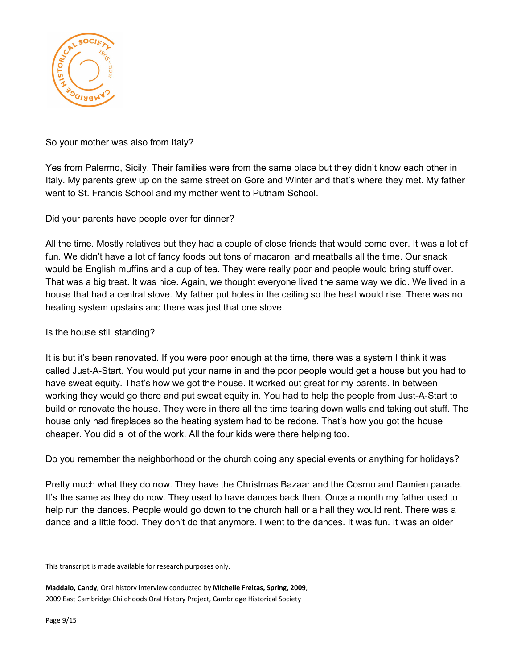

## So your mother was also from Italy?

Yes from Palermo, Sicily. Their families were from the same place but they didn't know each other in Italy. My parents grew up on the same street on Gore and Winter and that's where they met. My father went to St. Francis School and my mother went to Putnam School.

Did your parents have people over for dinner?

All the time. Mostly relatives but they had a couple of close friends that would come over. It was a lot of fun. We didn't have a lot of fancy foods but tons of macaroni and meatballs all the time. Our snack would be English muffins and a cup of tea. They were really poor and people would bring stuff over. That was a big treat. It was nice. Again, we thought everyone lived the same way we did. We lived in a house that had a central stove. My father put holes in the ceiling so the heat would rise. There was no heating system upstairs and there was just that one stove.

Is the house still standing?

It is but it's been renovated. If you were poor enough at the time, there was a system I think it was called Just-A-Start. You would put your name in and the poor people would get a house but you had to have sweat equity. That's how we got the house. It worked out great for my parents. In between working they would go there and put sweat equity in. You had to help the people from Just-A-Start to build or renovate the house. They were in there all the time tearing down walls and taking out stuff. The house only had fireplaces so the heating system had to be redone. That's how you got the house cheaper. You did a lot of the work. All the four kids were there helping too.

Do you remember the neighborhood or the church doing any special events or anything for holidays?

Pretty much what they do now. They have the Christmas Bazaar and the Cosmo and Damien parade. It's the same as they do now. They used to have dances back then. Once a month my father used to help run the dances. People would go down to the church hall or a hall they would rent. There was a dance and a little food. They don't do that anymore. I went to the dances. It was fun. It was an older

This transcript is made available for research purposes only.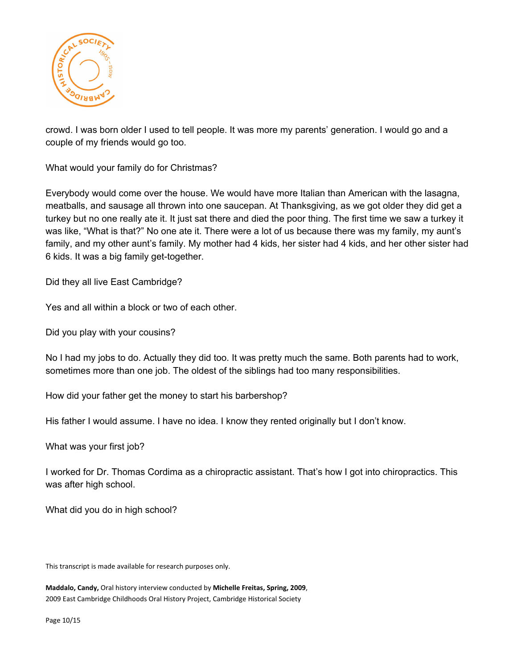

crowd. I was born older I used to tell people. It was more my parents' generation. I would go and a couple of my friends would go too.

What would your family do for Christmas?

Everybody would come over the house. We would have more Italian than American with the lasagna, meatballs, and sausage all thrown into one saucepan. At Thanksgiving, as we got older they did get a turkey but no one really ate it. It just sat there and died the poor thing. The first time we saw a turkey it was like, "What is that?" No one ate it. There were a lot of us because there was my family, my aunt's family, and my other aunt's family. My mother had 4 kids, her sister had 4 kids, and her other sister had 6 kids. It was a big family get-together.

Did they all live East Cambridge?

Yes and all within a block or two of each other.

Did you play with your cousins?

No I had my jobs to do. Actually they did too. It was pretty much the same. Both parents had to work, sometimes more than one job. The oldest of the siblings had too many responsibilities.

How did your father get the money to start his barbershop?

His father I would assume. I have no idea. I know they rented originally but I don't know.

What was your first job?

I worked for Dr. Thomas Cordima as a chiropractic assistant. That's how I got into chiropractics. This was after high school.

What did you do in high school?

This transcript is made available for research purposes only.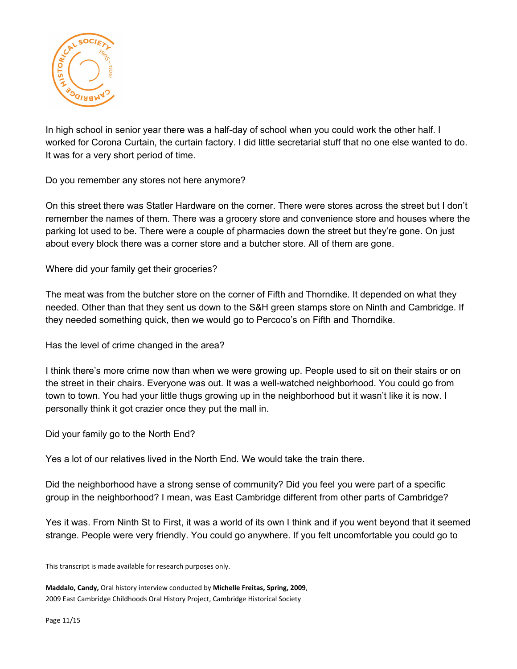

In high school in senior year there was a half-day of school when you could work the other half. I worked for Corona Curtain, the curtain factory. I did little secretarial stuff that no one else wanted to do. It was for a very short period of time.

Do you remember any stores not here anymore?

On this street there was Statler Hardware on the corner. There were stores across the street but I don't remember the names of them. There was a grocery store and convenience store and houses where the parking lot used to be. There were a couple of pharmacies down the street but they're gone. On just about every block there was a corner store and a butcher store. All of them are gone.

Where did your family get their groceries?

The meat was from the butcher store on the corner of Fifth and Thorndike. It depended on what they needed. Other than that they sent us down to the S&H green stamps store on Ninth and Cambridge. If they needed something quick, then we would go to Percoco's on Fifth and Thorndike.

Has the level of crime changed in the area?

I think there's more crime now than when we were growing up. People used to sit on their stairs or on the street in their chairs. Everyone was out. It was a well-watched neighborhood. You could go from town to town. You had your little thugs growing up in the neighborhood but it wasn't like it is now. I personally think it got crazier once they put the mall in.

Did your family go to the North End?

Yes a lot of our relatives lived in the North End. We would take the train there.

Did the neighborhood have a strong sense of community? Did you feel you were part of a specific group in the neighborhood? I mean, was East Cambridge different from other parts of Cambridge?

Yes it was. From Ninth St to First, it was a world of its own I think and if you went beyond that it seemed strange. People were very friendly. You could go anywhere. If you felt uncomfortable you could go to

This transcript is made available for research purposes only.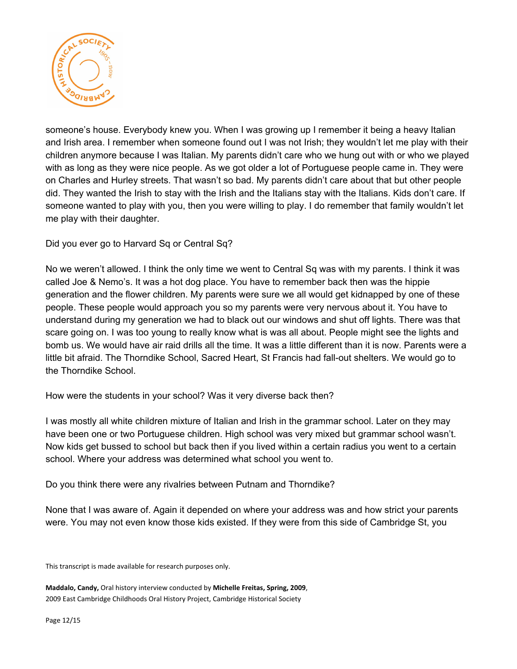

someone's house. Everybody knew you. When I was growing up I remember it being a heavy Italian and Irish area. I remember when someone found out I was not Irish; they wouldn't let me play with their children anymore because I was Italian. My parents didn't care who we hung out with or who we played with as long as they were nice people. As we got older a lot of Portuguese people came in. They were on Charles and Hurley streets. That wasn't so bad. My parents didn't care about that but other people did. They wanted the Irish to stay with the Irish and the Italians stay with the Italians. Kids don't care. If someone wanted to play with you, then you were willing to play. I do remember that family wouldn't let me play with their daughter.

Did you ever go to Harvard Sq or Central Sq?

No we weren't allowed. I think the only time we went to Central Sq was with my parents. I think it was called Joe & Nemo's. It was a hot dog place. You have to remember back then was the hippie generation and the flower children. My parents were sure we all would get kidnapped by one of these people. These people would approach you so my parents were very nervous about it. You have to understand during my generation we had to black out our windows and shut off lights. There was that scare going on. I was too young to really know what is was all about. People might see the lights and bomb us. We would have air raid drills all the time. It was a little different than it is now. Parents were a little bit afraid. The Thorndike School, Sacred Heart, St Francis had fall-out shelters. We would go to the Thorndike School.

How were the students in your school? Was it very diverse back then?

I was mostly all white children mixture of Italian and Irish in the grammar school. Later on they may have been one or two Portuguese children. High school was very mixed but grammar school wasn't. Now kids get bussed to school but back then if you lived within a certain radius you went to a certain school. Where your address was determined what school you went to.

Do you think there were any rivalries between Putnam and Thorndike?

None that I was aware of. Again it depended on where your address was and how strict your parents were. You may not even know those kids existed. If they were from this side of Cambridge St, you

This transcript is made available for research purposes only.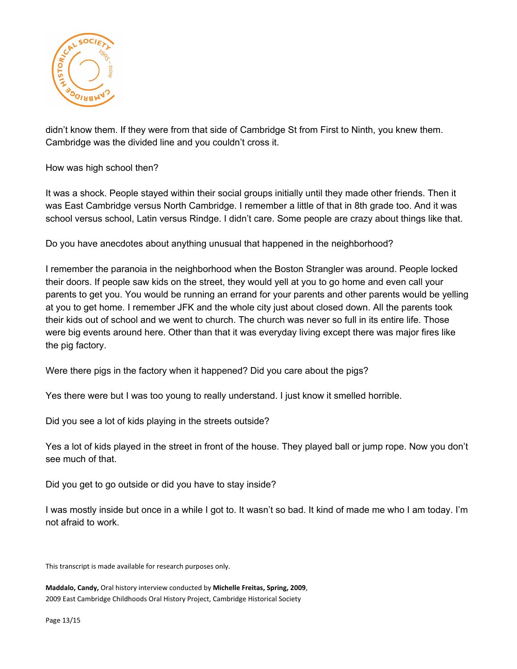

didn't know them. If they were from that side of Cambridge St from First to Ninth, you knew them. Cambridge was the divided line and you couldn't cross it.

How was high school then?

It was a shock. People stayed within their social groups initially until they made other friends. Then it was East Cambridge versus North Cambridge. I remember a little of that in 8th grade too. And it was school versus school, Latin versus Rindge. I didn't care. Some people are crazy about things like that.

Do you have anecdotes about anything unusual that happened in the neighborhood?

I remember the paranoia in the neighborhood when the Boston Strangler was around. People locked their doors. If people saw kids on the street, they would yell at you to go home and even call your parents to get you. You would be running an errand for your parents and other parents would be yelling at you to get home. I remember JFK and the whole city just about closed down. All the parents took their kids out of school and we went to church. The church was never so full in its entire life. Those were big events around here. Other than that it was everyday living except there was major fires like the pig factory.

Were there pigs in the factory when it happened? Did you care about the pigs?

Yes there were but I was too young to really understand. I just know it smelled horrible.

Did you see a lot of kids playing in the streets outside?

Yes a lot of kids played in the street in front of the house. They played ball or jump rope. Now you don't see much of that.

Did you get to go outside or did you have to stay inside?

I was mostly inside but once in a while I got to. It wasn't so bad. It kind of made me who I am today. I'm not afraid to work.

This transcript is made available for research purposes only.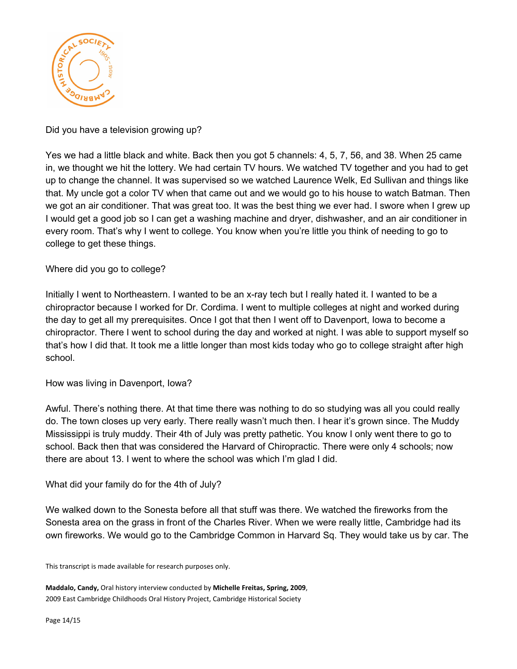

Did you have a television growing up?

Yes we had a little black and white. Back then you got 5 channels: 4, 5, 7, 56, and 38. When 25 came in, we thought we hit the lottery. We had certain TV hours. We watched TV together and you had to get up to change the channel. It was supervised so we watched Laurence Welk, Ed Sullivan and things like that. My uncle got a color TV when that came out and we would go to his house to watch Batman. Then we got an air conditioner. That was great too. It was the best thing we ever had. I swore when I grew up I would get a good job so I can get a washing machine and dryer, dishwasher, and an air conditioner in every room. That's why I went to college. You know when you're little you think of needing to go to college to get these things.

Where did you go to college?

Initially I went to Northeastern. I wanted to be an x-ray tech but I really hated it. I wanted to be a chiropractor because I worked for Dr. Cordima. I went to multiple colleges at night and worked during the day to get all my prerequisites. Once I got that then I went off to Davenport, Iowa to become a chiropractor. There I went to school during the day and worked at night. I was able to support myself so that's how I did that. It took me a little longer than most kids today who go to college straight after high school.

How was living in Davenport, Iowa?

Awful. There's nothing there. At that time there was nothing to do so studying was all you could really do. The town closes up very early. There really wasn't much then. I hear it's grown since. The Muddy Mississippi is truly muddy. Their 4th of July was pretty pathetic. You know I only went there to go to school. Back then that was considered the Harvard of Chiropractic. There were only 4 schools; now there are about 13. I went to where the school was which I'm glad I did.

What did your family do for the 4th of July?

We walked down to the Sonesta before all that stuff was there. We watched the fireworks from the Sonesta area on the grass in front of the Charles River. When we were really little, Cambridge had its own fireworks. We would go to the Cambridge Common in Harvard Sq. They would take us by car. The

This transcript is made available for research purposes only.